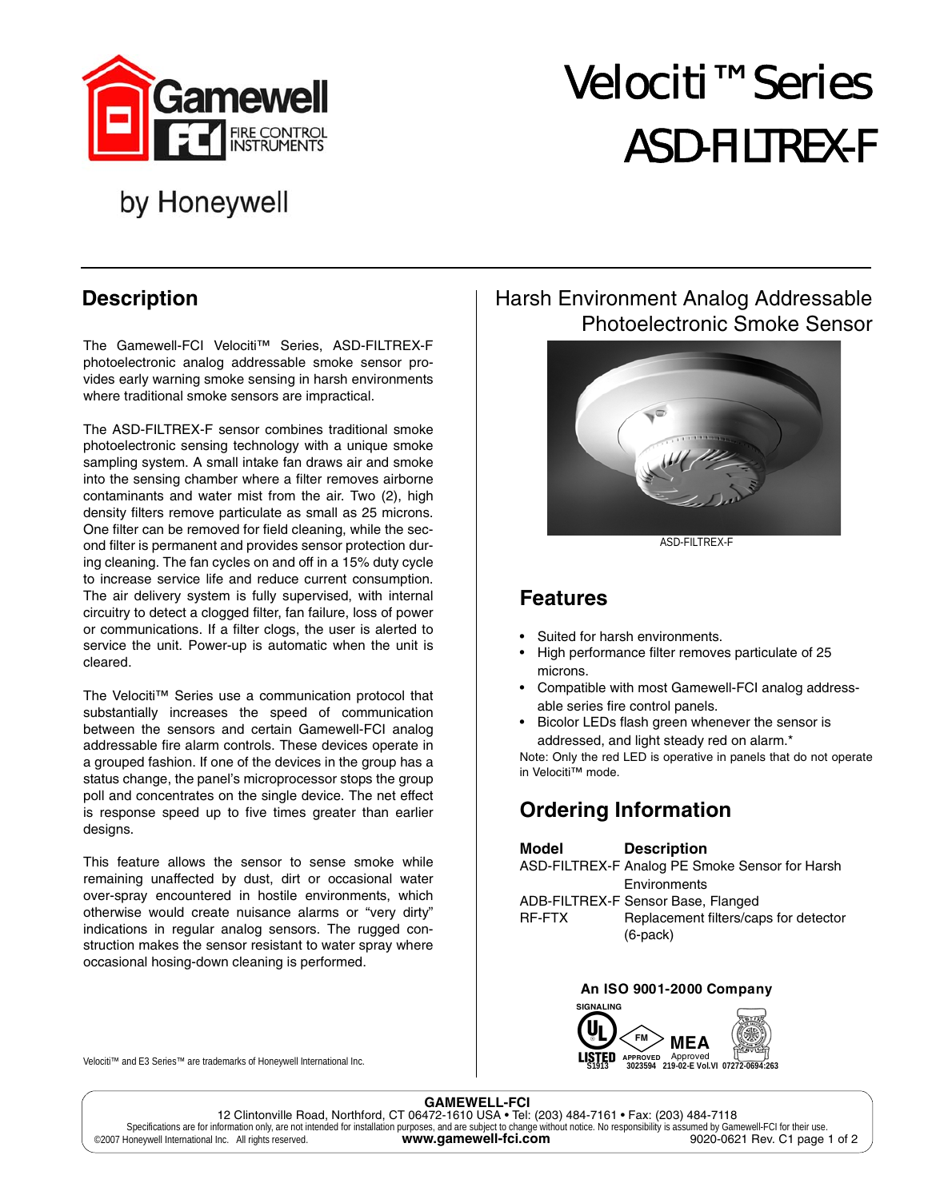

# Velociti™ Series ASD-FILTREX-F

## by Honeywell

### **Description**

The Gamewell-FCI Velociti™ Series, ASD-FILTREX-F photoelectronic analog addressable smoke sensor provides early warning smoke sensing in harsh environments where traditional smoke sensors are impractical.

The ASD-FILTREX-F sensor combines traditional smoke photoelectronic sensing technology with a unique smoke sampling system. A small intake fan draws air and smoke into the sensing chamber where a filter removes airborne contaminants and water mist from the air. Two (2), high density filters remove particulate as small as 25 microns. One filter can be removed for field cleaning, while the second filter is permanent and provides sensor protection during cleaning. The fan cycles on and off in a 15% duty cycle to increase service life and reduce current consumption. The air delivery system is fully supervised, with internal circuitry to detect a clogged filter, fan failure, loss of power or communications. If a filter clogs, the user is alerted to service the unit. Power-up is automatic when the unit is cleared.

The Velociti™ Series use a communication protocol that substantially increases the speed of communication between the sensors and certain Gamewell-FCI analog addressable fire alarm controls. These devices operate in a grouped fashion. If one of the devices in the group has a status change, the panel's microprocessor stops the group poll and concentrates on the single device. The net effect is response speed up to five times greater than earlier designs.

This feature allows the sensor to sense smoke while remaining unaffected by dust, dirt or occasional water over-spray encountered in hostile environments, which otherwise would create nuisance alarms or "very dirty" indications in regular analog sensors. The rugged construction makes the sensor resistant to water spray where occasional hosing-down cleaning is performed.

#### Velociti™ and E3 Series™ are trademarks of Honeywell International Inc.

#### Harsh Environment Analog Addressable Photoelectronic Smoke Sensor



ASD-FILTREX-F

#### **Features**

- Suited for harsh environments.
- High performance filter removes particulate of 25 microns.
- Compatible with most Gamewell-FCI analog addressable series fire control panels.
- Bicolor LEDs flash green whenever the sensor is addressed, and light steady red on alarm.\*

Note: Only the red LED is operative in panels that do not operate in Velociti™ mode.

#### **Ordering Information**

#### **Model Description**

|        | ASD-FILTREX-F Analog PE Smoke Sensor for Harsh |
|--------|------------------------------------------------|
|        | Environments                                   |
|        | ADB-FILTREX-F Sensor Base, Flanged             |
| RF-FTX | Replacement filters/caps for detector          |
|        | $(6$ -pack $)$                                 |

#### **An ISO 9001-2000 Company SIGNALING**



**GAMEWELL-FCI**